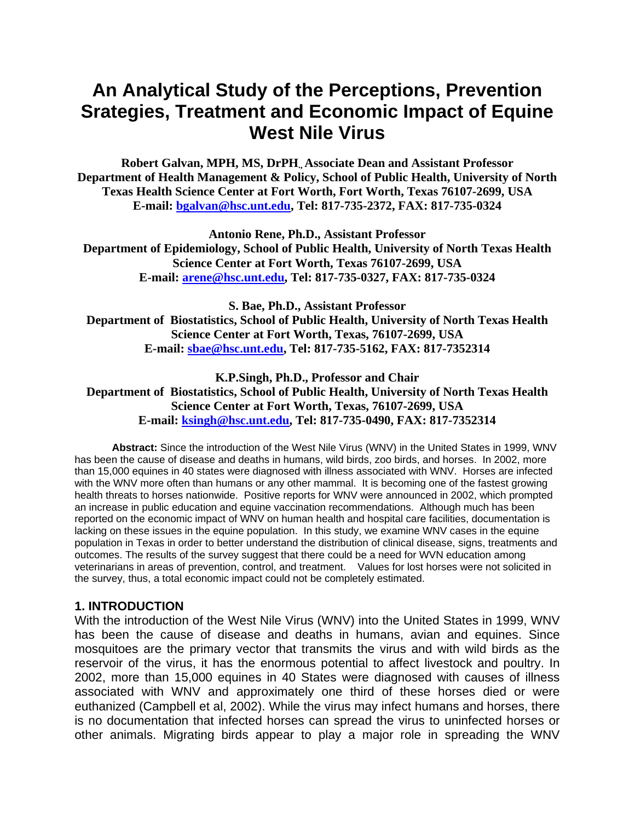# **An Analytical Study of the Perceptions, Prevention Srategies, Treatment and Economic Impact of Equine West Nile Virus**

**Robert Galvan, MPH, MS, DrPH., Associate Dean and Assistant Professor Department of Health Management & Policy, School of Public Health, University of North Texas Health Science Center at Fort Worth, Fort Worth, Texas 76107-2699, USA E-mail: bgalvan@hsc.unt.edu, Tel: 817-735-2372, FAX: 817-735-0324** 

**Antonio Rene, Ph.D., Assistant Professor Department of Epidemiology, School of Public Health, University of North Texas Health Science Center at Fort Worth, Texas 76107-2699, USA E-mail: arene@hsc.unt.edu, Tel: 817-735-0327, FAX: 817-735-0324** 

**S. Bae, Ph.D., Assistant Professor Department of Biostatistics, School of Public Health, University of North Texas Health Science Center at Fort Worth, Texas, 76107-2699, USA E-mail: sbae@hsc.unt.edu, Tel: 817-735-5162, FAX: 817-7352314** 

**K.P.Singh, Ph.D., Professor and Chair Department of Biostatistics, School of Public Health, University of North Texas Health Science Center at Fort Worth, Texas, 76107-2699, USA E-mail: ksingh@hsc.unt.edu, Tel: 817-735-0490, FAX: 817-7352314**

**Abstract:** Since the introduction of the West Nile Virus (WNV) in the United States in 1999, WNV has been the cause of disease and deaths in humans, wild birds, zoo birds, and horses. In 2002, more than 15,000 equines in 40 states were diagnosed with illness associated with WNV. Horses are infected with the WNV more often than humans or any other mammal. It is becoming one of the fastest growing health threats to horses nationwide. Positive reports for WNV were announced in 2002, which prompted an increase in public education and equine vaccination recommendations. Although much has been reported on the economic impact of WNV on human health and hospital care facilities, documentation is lacking on these issues in the equine population. In this study, we examine WNV cases in the equine population in Texas in order to better understand the distribution of clinical disease, signs, treatments and outcomes. The results of the survey suggest that there could be a need for WVN education among veterinarians in areas of prevention, control, and treatment. Values for lost horses were not solicited in the survey, thus, a total economic impact could not be completely estimated.

#### **1. INTRODUCTION**

With the introduction of the West Nile Virus (WNV) into the United States in 1999, WNV has been the cause of disease and deaths in humans, avian and equines. Since mosquitoes are the primary vector that transmits the virus and with wild birds as the reservoir of the virus, it has the enormous potential to affect livestock and poultry. In 2002, more than 15,000 equines in 40 States were diagnosed with causes of illness associated with WNV and approximately one third of these horses died or were euthanized (Campbell et al, 2002). While the virus may infect humans and horses, there is no documentation that infected horses can spread the virus to uninfected horses or other animals. Migrating birds appear to play a major role in spreading the WNV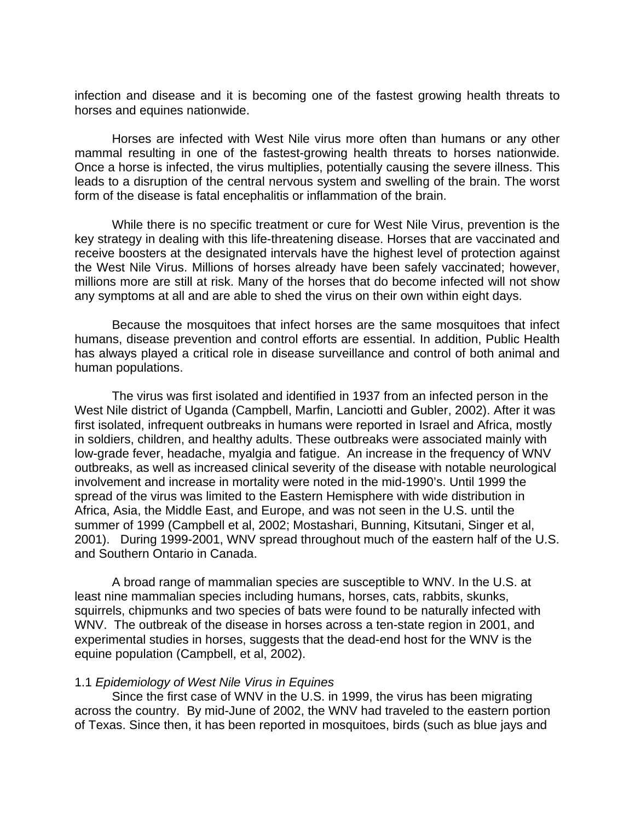infection and disease and it is becoming one of the fastest growing health threats to horses and equines nationwide.

Horses are infected with West Nile virus more often than humans or any other mammal resulting in one of the fastest-growing health threats to horses nationwide. Once a horse is infected, the virus multiplies, potentially causing the severe illness. This leads to a disruption of the central nervous system and swelling of the brain. The worst form of the disease is fatal encephalitis or inflammation of the brain.

While there is no specific treatment or cure for West Nile Virus, prevention is the key strategy in dealing with this life-threatening disease. Horses that are vaccinated and receive boosters at the designated intervals have the highest level of protection against the West Nile Virus. Millions of horses already have been safely vaccinated; however, millions more are still at risk. Many of the horses that do become infected will not show any symptoms at all and are able to shed the virus on their own within eight days.

Because the mosquitoes that infect horses are the same mosquitoes that infect humans, disease prevention and control efforts are essential. In addition, Public Health has always played a critical role in disease surveillance and control of both animal and human populations.

The virus was first isolated and identified in 1937 from an infected person in the West Nile district of Uganda (Campbell, Marfin, Lanciotti and Gubler, 2002). After it was first isolated, infrequent outbreaks in humans were reported in Israel and Africa, mostly in soldiers, children, and healthy adults. These outbreaks were associated mainly with low-grade fever, headache, myalgia and fatigue. An increase in the frequency of WNV outbreaks, as well as increased clinical severity of the disease with notable neurological involvement and increase in mortality were noted in the mid-1990's. Until 1999 the spread of the virus was limited to the Eastern Hemisphere with wide distribution in Africa, Asia, the Middle East, and Europe, and was not seen in the U.S. until the summer of 1999 (Campbell et al, 2002; Mostashari, Bunning, Kitsutani, Singer et al, 2001). During 1999-2001, WNV spread throughout much of the eastern half of the U.S. and Southern Ontario in Canada.

 A broad range of mammalian species are susceptible to WNV. In the U.S. at least nine mammalian species including humans, horses, cats, rabbits, skunks, squirrels, chipmunks and two species of bats were found to be naturally infected with WNV. The outbreak of the disease in horses across a ten-state region in 2001, and experimental studies in horses, suggests that the dead-end host for the WNV is the equine population (Campbell, et al, 2002).

#### 1.1 *Epidemiology of West Nile Virus in Equines*

 Since the first case of WNV in the U.S. in 1999, the virus has been migrating across the country. By mid-June of 2002, the WNV had traveled to the eastern portion of Texas. Since then, it has been reported in mosquitoes, birds (such as blue jays and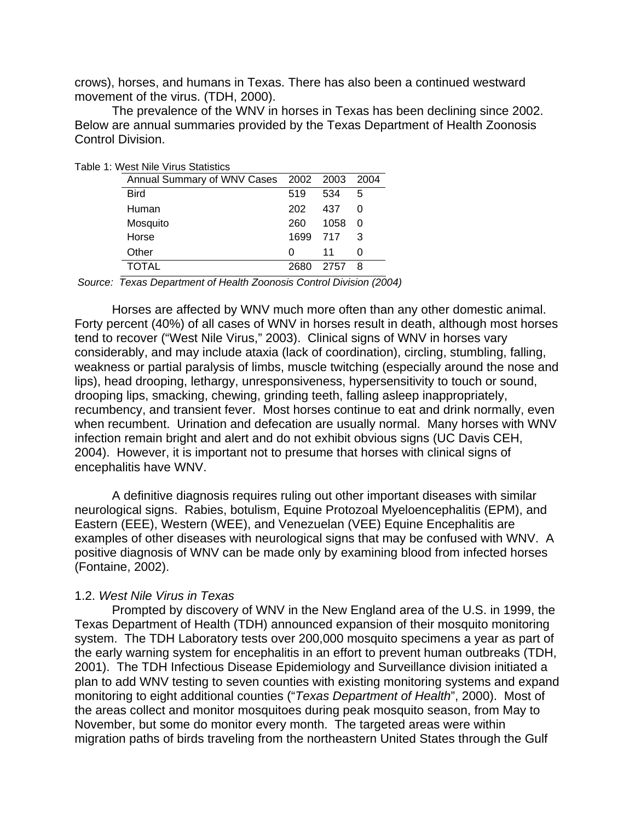crows), horses, and humans in Texas. There has also been a continued westward movement of the virus. (TDH, 2000).

 The prevalence of the WNV in horses in Texas has been declining since 2002. Below are annual summaries provided by the Texas Department of Health Zoonosis Control Division.

| . West nile Virus Statistics               |      |      |          |  |  |
|--------------------------------------------|------|------|----------|--|--|
| Annual Summary of WNV Cases 2002 2003 2004 |      |      |          |  |  |
| <b>Bird</b>                                | 519  | 534  | 5        |  |  |
| Human                                      | 202  | 437  | 0        |  |  |
| Mosquito                                   | 260  | 1058 | $\Omega$ |  |  |
| Horse                                      | 1699 | 717  | 3        |  |  |
| Other                                      | O    | 11   |          |  |  |
| TOTAL                                      | 2680 | 2757 | - 8      |  |  |

Table 1: West Nile Virus Statistics

*Source: Texas Department of Health Zoonosis Control Division (2004)*

Horses are affected by WNV much more often than any other domestic animal. Forty percent (40%) of all cases of WNV in horses result in death, although most horses tend to recover ("West Nile Virus," 2003). Clinical signs of WNV in horses vary considerably, and may include ataxia (lack of coordination), circling, stumbling, falling, weakness or partial paralysis of limbs, muscle twitching (especially around the nose and lips), head drooping, lethargy, unresponsiveness, hypersensitivity to touch or sound, drooping lips, smacking, chewing, grinding teeth, falling asleep inappropriately, recumbency, and transient fever. Most horses continue to eat and drink normally, even when recumbent. Urination and defecation are usually normal. Many horses with WNV infection remain bright and alert and do not exhibit obvious signs (UC Davis CEH, 2004). However, it is important not to presume that horses with clinical signs of encephalitis have WNV.

 A definitive diagnosis requires ruling out other important diseases with similar neurological signs. Rabies, botulism, Equine Protozoal Myeloencephalitis (EPM), and Eastern (EEE), Western (WEE), and Venezuelan (VEE) Equine Encephalitis are examples of other diseases with neurological signs that may be confused with WNV. A positive diagnosis of WNV can be made only by examining blood from infected horses (Fontaine, 2002).

#### 1.2. *West Nile Virus in Texas*

 Prompted by discovery of WNV in the New England area of the U.S. in 1999, the Texas Department of Health (TDH) announced expansion of their mosquito monitoring system. The TDH Laboratory tests over 200,000 mosquito specimens a year as part of the early warning system for encephalitis in an effort to prevent human outbreaks (TDH, 2001). The TDH Infectious Disease Epidemiology and Surveillance division initiated a plan to add WNV testing to seven counties with existing monitoring systems and expand monitoring to eight additional counties ("*Texas Department of Health*", 2000). Most of the areas collect and monitor mosquitoes during peak mosquito season, from May to November, but some do monitor every month. The targeted areas were within migration paths of birds traveling from the northeastern United States through the Gulf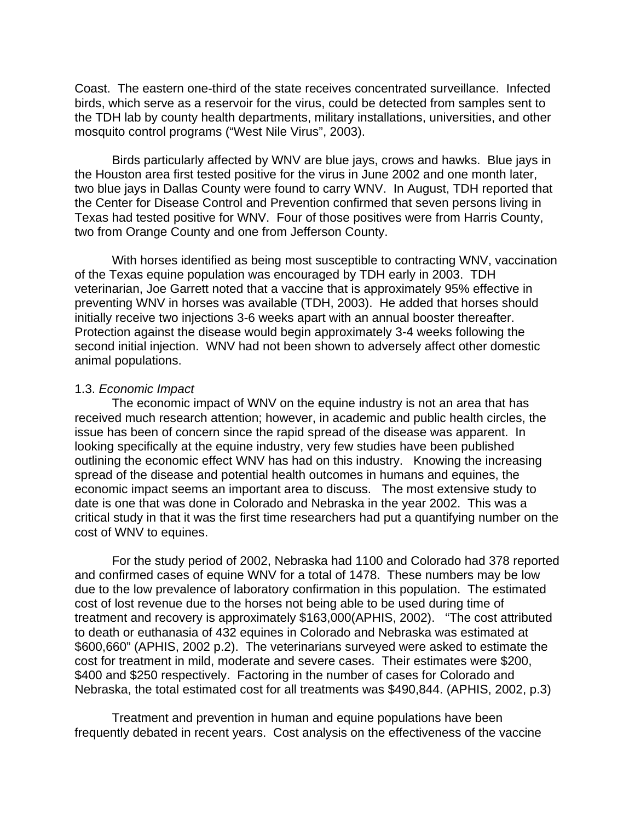Coast. The eastern one-third of the state receives concentrated surveillance. Infected birds, which serve as a reservoir for the virus, could be detected from samples sent to the TDH lab by county health departments, military installations, universities, and other mosquito control programs ("West Nile Virus", 2003).

Birds particularly affected by WNV are blue jays, crows and hawks. Blue jays in the Houston area first tested positive for the virus in June 2002 and one month later, two blue jays in Dallas County were found to carry WNV. In August, TDH reported that the Center for Disease Control and Prevention confirmed that seven persons living in Texas had tested positive for WNV. Four of those positives were from Harris County, two from Orange County and one from Jefferson County.

 With horses identified as being most susceptible to contracting WNV, vaccination of the Texas equine population was encouraged by TDH early in 2003. TDH veterinarian, Joe Garrett noted that a vaccine that is approximately 95% effective in preventing WNV in horses was available (TDH, 2003). He added that horses should initially receive two injections 3-6 weeks apart with an annual booster thereafter. Protection against the disease would begin approximately 3-4 weeks following the second initial injection. WNV had not been shown to adversely affect other domestic animal populations.

#### 1.3. *Economic Impact*

 The economic impact of WNV on the equine industry is not an area that has received much research attention; however, in academic and public health circles, the issue has been of concern since the rapid spread of the disease was apparent. In looking specifically at the equine industry, very few studies have been published outlining the economic effect WNV has had on this industry. Knowing the increasing spread of the disease and potential health outcomes in humans and equines, the economic impact seems an important area to discuss. The most extensive study to date is one that was done in Colorado and Nebraska in the year 2002. This was a critical study in that it was the first time researchers had put a quantifying number on the cost of WNV to equines.

 For the study period of 2002, Nebraska had 1100 and Colorado had 378 reported and confirmed cases of equine WNV for a total of 1478. These numbers may be low due to the low prevalence of laboratory confirmation in this population. The estimated cost of lost revenue due to the horses not being able to be used during time of treatment and recovery is approximately \$163,000(APHIS, 2002). "The cost attributed to death or euthanasia of 432 equines in Colorado and Nebraska was estimated at \$600,660" (APHIS, 2002 p.2). The veterinarians surveyed were asked to estimate the cost for treatment in mild, moderate and severe cases. Their estimates were \$200, \$400 and \$250 respectively. Factoring in the number of cases for Colorado and Nebraska, the total estimated cost for all treatments was \$490,844. (APHIS, 2002, p.3)

 Treatment and prevention in human and equine populations have been frequently debated in recent years. Cost analysis on the effectiveness of the vaccine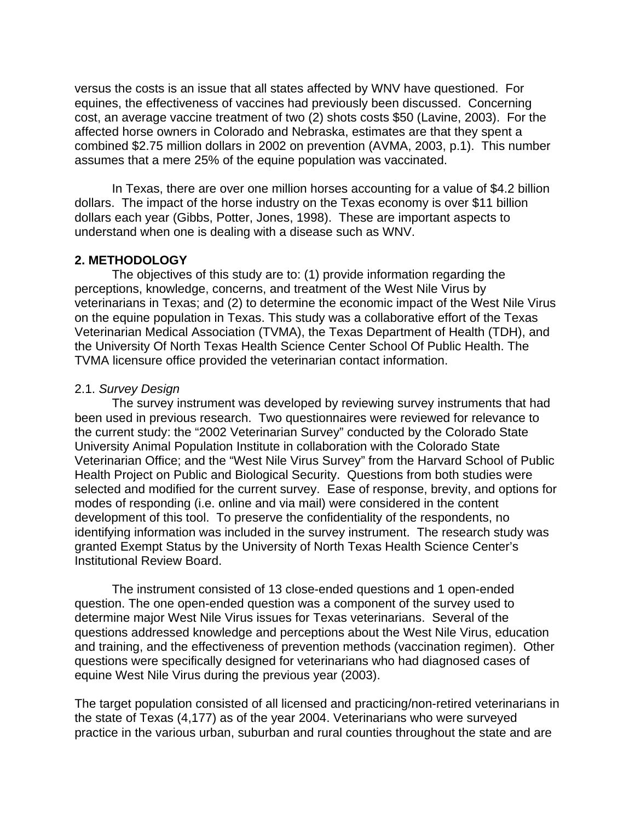versus the costs is an issue that all states affected by WNV have questioned. For equines, the effectiveness of vaccines had previously been discussed. Concerning cost, an average vaccine treatment of two (2) shots costs \$50 (Lavine, 2003). For the affected horse owners in Colorado and Nebraska, estimates are that they spent a combined \$2.75 million dollars in 2002 on prevention (AVMA, 2003, p.1). This number assumes that a mere 25% of the equine population was vaccinated.

 In Texas, there are over one million horses accounting for a value of \$4.2 billion dollars. The impact of the horse industry on the Texas economy is over \$11 billion dollars each year (Gibbs, Potter, Jones, 1998). These are important aspects to understand when one is dealing with a disease such as WNV.

#### **2. METHODOLOGY**

The objectives of this study are to: (1) provide information regarding the perceptions, knowledge, concerns, and treatment of the West Nile Virus by veterinarians in Texas; and (2) to determine the economic impact of the West Nile Virus on the equine population in Texas. This study was a collaborative effort of the Texas Veterinarian Medical Association (TVMA), the Texas Department of Health (TDH), and the University Of North Texas Health Science Center School Of Public Health. The TVMA licensure office provided the veterinarian contact information.

#### 2.1. *Survey Design*

The survey instrument was developed by reviewing survey instruments that had been used in previous research. Two questionnaires were reviewed for relevance to the current study: the "2002 Veterinarian Survey" conducted by the Colorado State University Animal Population Institute in collaboration with the Colorado State Veterinarian Office; and the "West Nile Virus Survey" from the Harvard School of Public Health Project on Public and Biological Security. Questions from both studies were selected and modified for the current survey. Ease of response, brevity, and options for modes of responding (i.e. online and via mail) were considered in the content development of this tool. To preserve the confidentiality of the respondents, no identifying information was included in the survey instrument. The research study was granted Exempt Status by the University of North Texas Health Science Center's Institutional Review Board.

The instrument consisted of 13 close-ended questions and 1 open-ended question. The one open-ended question was a component of the survey used to determine major West Nile Virus issues for Texas veterinarians. Several of the questions addressed knowledge and perceptions about the West Nile Virus, education and training, and the effectiveness of prevention methods (vaccination regimen). Other questions were specifically designed for veterinarians who had diagnosed cases of equine West Nile Virus during the previous year (2003).

The target population consisted of all licensed and practicing/non-retired veterinarians in the state of Texas (4,177) as of the year 2004. Veterinarians who were surveyed practice in the various urban, suburban and rural counties throughout the state and are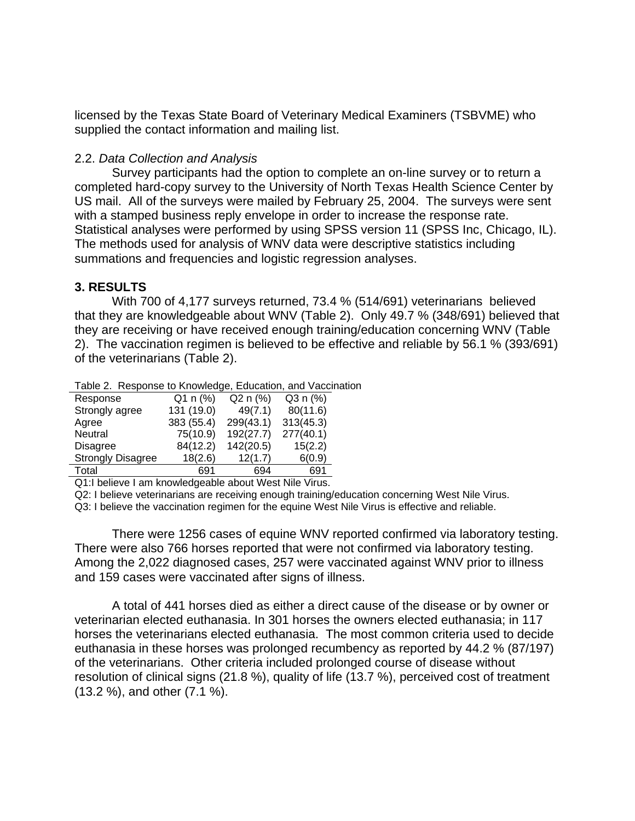licensed by the Texas State Board of Veterinary Medical Examiners (TSBVME) who supplied the contact information and mailing list.

### 2.2. *Data Collection and Analysis*

Survey participants had the option to complete an on-line survey or to return a completed hard-copy survey to the University of North Texas Health Science Center by US mail. All of the surveys were mailed by February 25, 2004. The surveys were sent with a stamped business reply envelope in order to increase the response rate. Statistical analyses were performed by using SPSS version 11 (SPSS Inc, Chicago, IL). The methods used for analysis of WNV data were descriptive statistics including summations and frequencies and logistic regression analyses.

## **3. RESULTS**

With 700 of 4,177 surveys returned, 73.4 % (514/691) veterinarians believed that they are knowledgeable about WNV (Table 2). Only 49.7 % (348/691) believed that they are receiving or have received enough training/education concerning WNV (Table 2). The vaccination regimen is believed to be effective and reliable by 56.1 % (393/691) of the veterinarians (Table 2).

| Response                 | $Q1 n (\%)$ | $Q2 n (\%)$ | Q3 n (%)  |
|--------------------------|-------------|-------------|-----------|
| Strongly agree           | 131 (19.0)  | 49(7.1)     | 80(11.6)  |
| Agree                    | 383 (55.4)  | 299(43.1)   | 313(45.3) |
| Neutral                  | 75(10.9)    | 192(27.7)   | 277(40.1) |
| <b>Disagree</b>          | 84(12.2)    | 142(20.5)   | 15(2.2)   |
| <b>Strongly Disagree</b> | 18(2.6)     | 12(1.7)     | 6(0.9)    |
| Total                    | 691         | 694         | 691       |

Q1:I believe I am knowledgeable about West Nile Virus.

Q2: I believe veterinarians are receiving enough training/education concerning West Nile Virus.

Q3: I believe the vaccination regimen for the equine West Nile Virus is effective and reliable.

There were 1256 cases of equine WNV reported confirmed via laboratory testing. There were also 766 horses reported that were not confirmed via laboratory testing. Among the 2,022 diagnosed cases, 257 were vaccinated against WNV prior to illness and 159 cases were vaccinated after signs of illness.

A total of 441 horses died as either a direct cause of the disease or by owner or veterinarian elected euthanasia. In 301 horses the owners elected euthanasia; in 117 horses the veterinarians elected euthanasia. The most common criteria used to decide euthanasia in these horses was prolonged recumbency as reported by 44.2 % (87/197) of the veterinarians. Other criteria included prolonged course of disease without resolution of clinical signs (21.8 %), quality of life (13.7 %), perceived cost of treatment (13.2 %), and other (7.1 %).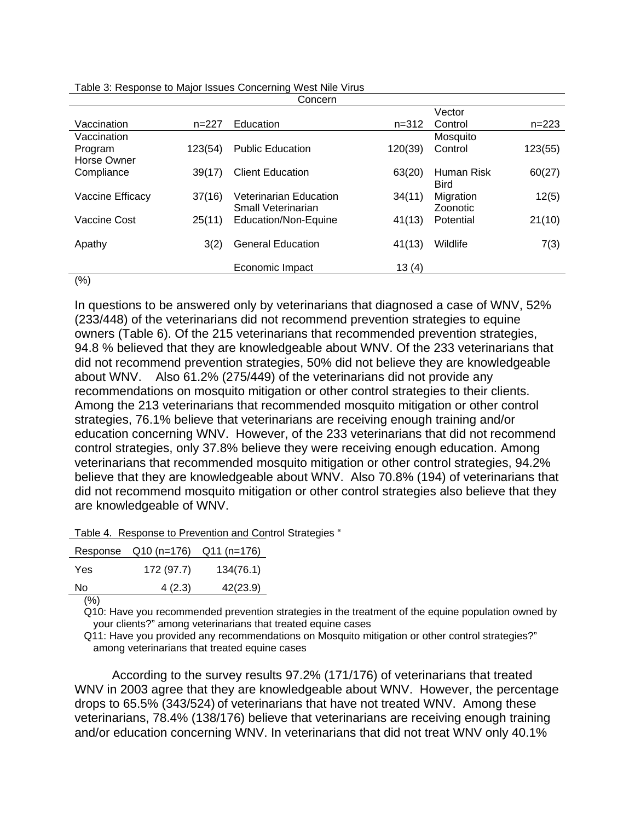|                  |         | Concern                       |           |             |           |
|------------------|---------|-------------------------------|-----------|-------------|-----------|
|                  |         |                               |           | Vector      |           |
| Vaccination      | $n=227$ | Education                     | $n = 312$ | Control     | $n = 223$ |
| Vaccination      |         |                               |           | Mosquito    |           |
| Program          | 123(54) | <b>Public Education</b>       | 120(39)   | Control     | 123(55)   |
| Horse Owner      |         |                               |           |             |           |
| Compliance       | 39(17)  | <b>Client Education</b>       | 63(20)    | Human Risk  | 60(27)    |
|                  |         |                               |           | <b>Bird</b> |           |
| Vaccine Efficacy | 37(16)  | <b>Veterinarian Education</b> | 34(11)    | Migration   | 12(5)     |
|                  |         | Small Veterinarian            |           | Zoonotic    |           |
| Vaccine Cost     | 25(11)  | Education/Non-Equine          | 41(13)    | Potential   | 21(10)    |
|                  |         |                               |           |             |           |
| Apathy           | 3(2)    | <b>General Education</b>      | 41(13)    | Wildlife    | 7(3)      |
|                  |         |                               |           |             |           |
|                  |         | Economic Impact               | 13(4)     |             |           |
| (0)              |         |                               |           |             |           |

Table 3: Response to Major Issues Concerning West Nile Virus

 $(% )$ 

In questions to be answered only by veterinarians that diagnosed a case of WNV, 52% (233/448) of the veterinarians did not recommend prevention strategies to equine owners (Table 6). Of the 215 veterinarians that recommended prevention strategies, 94.8 % believed that they are knowledgeable about WNV. Of the 233 veterinarians that did not recommend prevention strategies, 50% did not believe they are knowledgeable about WNV. Also 61.2% (275/449) of the veterinarians did not provide any recommendations on mosquito mitigation or other control strategies to their clients. Among the 213 veterinarians that recommended mosquito mitigation or other control strategies, 76.1% believe that veterinarians are receiving enough training and/or education concerning WNV. However, of the 233 veterinarians that did not recommend control strategies, only 37.8% believe they were receiving enough education. Among veterinarians that recommended mosquito mitigation or other control strategies, 94.2% believe that they are knowledgeable about WNV. Also 70.8% (194) of veterinarians that did not recommend mosquito mitigation or other control strategies also believe that they are knowledgeable of WNV.

|  | Table 4. Response to Prevention and Control Strategies " |  |  |
|--|----------------------------------------------------------|--|--|
|--|----------------------------------------------------------|--|--|

|            | Response Q10 (n=176) Q11 (n=176) |           |
|------------|----------------------------------|-----------|
| <b>Yes</b> | 172 (97.7)                       | 134(76.1) |
| No         | 4(2.3)                           | 42(23.9)  |
| $\sqrt{2}$ |                                  |           |

(%)

Q10: Have you recommended prevention strategies in the treatment of the equine population owned by your clients?" among veterinarians that treated equine cases

Q11: Have you provided any recommendations on Mosquito mitigation or other control strategies?" among veterinarians that treated equine cases

According to the survey results 97.2% (171/176) of veterinarians that treated WNV in 2003 agree that they are knowledgeable about WNV. However, the percentage drops to 65.5% (343/524) of veterinarians that have not treated WNV. Among these veterinarians, 78.4% (138/176) believe that veterinarians are receiving enough training and/or education concerning WNV. In veterinarians that did not treat WNV only 40.1%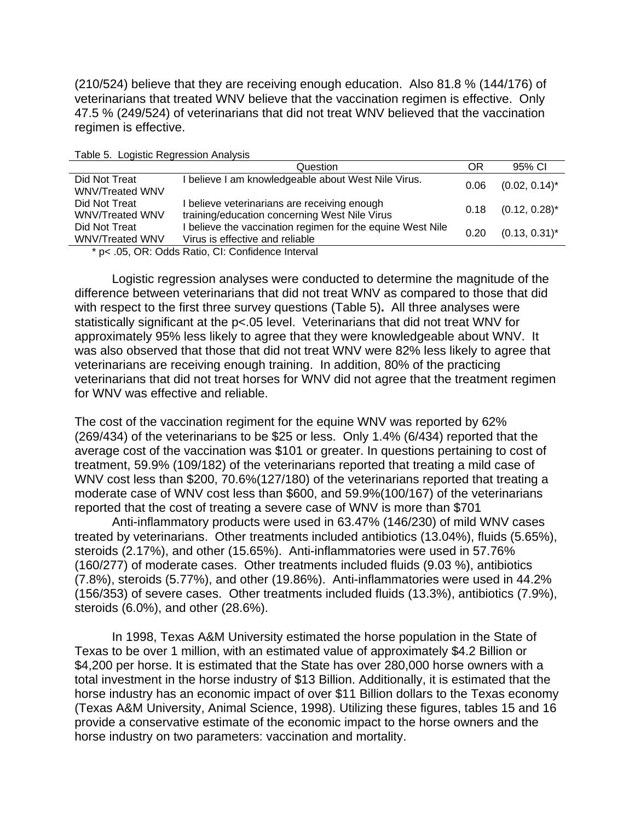(210/524) believe that they are receiving enough education. Also 81.8 % (144/176) of veterinarians that treated WNV believe that the vaccination regimen is effective. Only 47.5 % (249/524) of veterinarians that did not treat WNV believed that the vaccination regimen is effective.

| Table J. Lugistic Regiession Analysis                  |                                                                                               |      |                  |  |
|--------------------------------------------------------|-----------------------------------------------------------------------------------------------|------|------------------|--|
|                                                        | Question                                                                                      | OR   | 95% CI           |  |
| Did Not Treat<br><b>WNV/Treated WNV</b>                | believe I am knowledgeable about West Nile Virus.                                             | 0.06 | $(0.02, 0.14)^*$ |  |
| Did Not Treat<br>WNV/Treated WNV                       | I believe veterinarians are receiving enough<br>training/education concerning West Nile Virus | 0.18 | $(0.12, 0.28)^*$ |  |
| Did Not Treat<br><b>WNV/Treated WNV</b>                | I believe the vaccination regimen for the equine West Nile<br>Virus is effective and reliable | 0.20 | $(0.13, 0.31)^*$ |  |
| $* \sim \Omega$ CD: Odde Datio CL: Confidence Interval |                                                                                               |      |                  |  |

Table 5. Logistic Regression Analysis

\* p< .05, OR: Odds Ratio, CI: Confidence Interval

Logistic regression analyses were conducted to determine the magnitude of the difference between veterinarians that did not treat WNV as compared to those that did with respect to the first three survey questions (Table 5)**.** All three analyses were statistically significant at the p<.05 level.Veterinarians that did not treat WNV for approximately 95% less likely to agree that they were knowledgeable about WNV. It was also observed that those that did not treat WNV were 82% less likely to agree that veterinarians are receiving enough training. In addition, 80% of the practicing veterinarians that did not treat horses for WNV did not agree that the treatment regimen for WNV was effective and reliable.

The cost of the vaccination regiment for the equine WNV was reported by 62% (269/434) of the veterinarians to be \$25 or less. Only 1.4% (6/434) reported that the average cost of the vaccination was \$101 or greater. In questions pertaining to cost of treatment, 59.9% (109/182) of the veterinarians reported that treating a mild case of WNV cost less than \$200, 70.6%(127/180) of the veterinarians reported that treating a moderate case of WNV cost less than \$600, and 59.9%(100/167) of the veterinarians reported that the cost of treating a severe case of WNV is more than \$701

Anti-inflammatory products were used in 63.47% (146/230) of mild WNV cases treated by veterinarians. Other treatments included antibiotics (13.04%), fluids (5.65%), steroids (2.17%), and other (15.65%). Anti-inflammatories were used in 57.76% (160/277) of moderate cases. Other treatments included fluids (9.03 %), antibiotics (7.8%), steroids (5.77%), and other (19.86%). Anti-inflammatories were used in 44.2% (156/353) of severe cases. Other treatments included fluids (13.3%), antibiotics (7.9%), steroids (6.0%), and other (28.6%).

In 1998, Texas A&M University estimated the horse population in the State of Texas to be over 1 million, with an estimated value of approximately \$4.2 Billion or \$4,200 per horse. It is estimated that the State has over 280,000 horse owners with a total investment in the horse industry of \$13 Billion. Additionally, it is estimated that the horse industry has an economic impact of over \$11 Billion dollars to the Texas economy (Texas A&M University, Animal Science, 1998). Utilizing these figures, tables 15 and 16 provide a conservative estimate of the economic impact to the horse owners and the horse industry on two parameters: vaccination and mortality.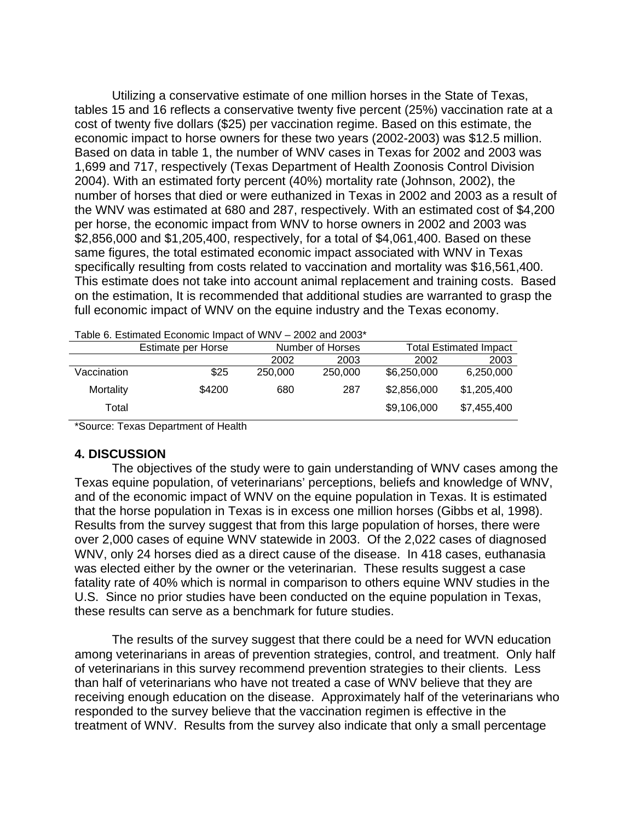Utilizing a conservative estimate of one million horses in the State of Texas, tables 15 and 16 reflects a conservative twenty five percent (25%) vaccination rate at a cost of twenty five dollars (\$25) per vaccination regime. Based on this estimate, the economic impact to horse owners for these two years (2002-2003) was \$12.5 million. Based on data in table 1, the number of WNV cases in Texas for 2002 and 2003 was 1,699 and 717, respectively (Texas Department of Health Zoonosis Control Division 2004). With an estimated forty percent (40%) mortality rate (Johnson, 2002), the number of horses that died or were euthanized in Texas in 2002 and 2003 as a result of the WNV was estimated at 680 and 287, respectively. With an estimated cost of \$4,200 per horse, the economic impact from WNV to horse owners in 2002 and 2003 was \$2,856,000 and \$1,205,400, respectively, for a total of \$4,061,400. Based on these same figures, the total estimated economic impact associated with WNV in Texas specifically resulting from costs related to vaccination and mortality was \$16,561,400. This estimate does not take into account animal replacement and training costs. Based on the estimation, It is recommended that additional studies are warranted to grasp the full economic impact of WNV on the equine industry and the Texas economy.

| able 6. Estimated Economic impact of $v_{\rm{NV}}$ $-$ 2002 and 2003 |                    |                  |         |             |                               |
|----------------------------------------------------------------------|--------------------|------------------|---------|-------------|-------------------------------|
|                                                                      | Estimate per Horse | Number of Horses |         |             | <b>Total Estimated Impact</b> |
|                                                                      |                    | 2002             | 2003    | 2002        | 2003                          |
| Vaccination                                                          | \$25               | 250,000          | 250,000 | \$6,250,000 | 6,250,000                     |
| Mortality                                                            | \$4200             | 680              | 287     | \$2,856,000 | \$1,205,400                   |
| Total                                                                |                    |                  |         | \$9,106,000 | \$7,455,400                   |
|                                                                      |                    |                  |         |             |                               |

 $T_{\text{max}}$   $\frac{1}{2}$  Except of MNV  $\frac{1}{2}$  0.000 and 2002 and 2003 and 2003 and 2003 and 2003 and 2003 and 2003 and 2003 and 2003 and 2003 and 2003 and 2003 and 2003 and 2003 and 2003 and 2003 and 2003 and 2003 and 2003

\*Source: Texas Department of Health

#### **4. DISCUSSION**

The objectives of the study were to gain understanding of WNV cases among the Texas equine population, of veterinarians' perceptions, beliefs and knowledge of WNV, and of the economic impact of WNV on the equine population in Texas. It is estimated that the horse population in Texas is in excess one million horses (Gibbs et al, 1998). Results from the survey suggest that from this large population of horses, there were over 2,000 cases of equine WNV statewide in 2003. Of the 2,022 cases of diagnosed WNV, only 24 horses died as a direct cause of the disease. In 418 cases, euthanasia was elected either by the owner or the veterinarian. These results suggest a case fatality rate of 40% which is normal in comparison to others equine WNV studies in the U.S. Since no prior studies have been conducted on the equine population in Texas, these results can serve as a benchmark for future studies.

 The results of the survey suggest that there could be a need for WVN education among veterinarians in areas of prevention strategies, control, and treatment. Only half of veterinarians in this survey recommend prevention strategies to their clients. Less than half of veterinarians who have not treated a case of WNV believe that they are receiving enough education on the disease. Approximately half of the veterinarians who responded to the survey believe that the vaccination regimen is effective in the treatment of WNV. Results from the survey also indicate that only a small percentage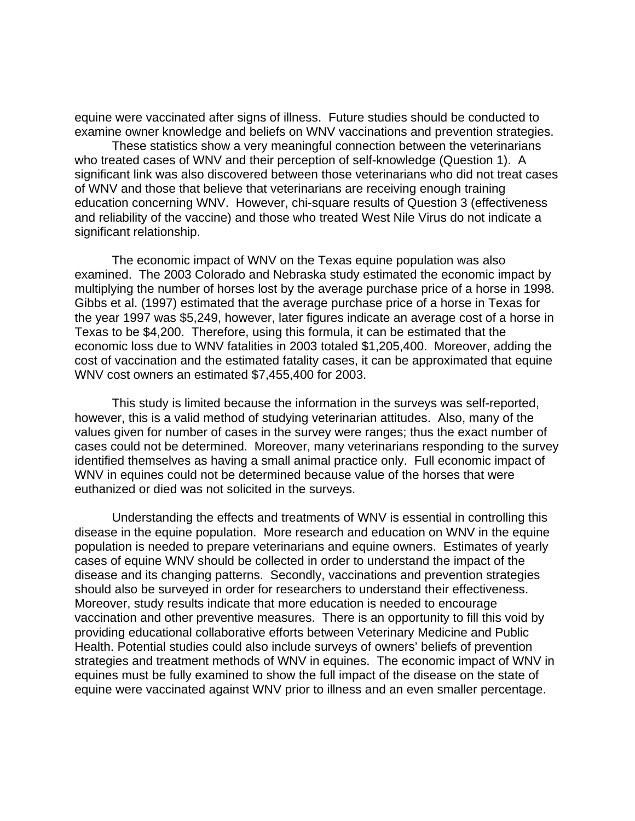equine were vaccinated after signs of illness. Future studies should be conducted to examine owner knowledge and beliefs on WNV vaccinations and prevention strategies.

 These statistics show a very meaningful connection between the veterinarians who treated cases of WNV and their perception of self-knowledge (Question 1). A significant link was also discovered between those veterinarians who did not treat cases of WNV and those that believe that veterinarians are receiving enough training education concerning WNV. However, chi-square results of Question 3 (effectiveness and reliability of the vaccine) and those who treated West Nile Virus do not indicate a significant relationship.

The economic impact of WNV on the Texas equine population was also examined. The 2003 Colorado and Nebraska study estimated the economic impact by multiplying the number of horses lost by the average purchase price of a horse in 1998. Gibbs et al. (1997) estimated that the average purchase price of a horse in Texas for the year 1997 was \$5,249, however, later figures indicate an average cost of a horse in Texas to be \$4,200. Therefore, using this formula, it can be estimated that the economic loss due to WNV fatalities in 2003 totaled \$1,205,400. Moreover, adding the cost of vaccination and the estimated fatality cases, it can be approximated that equine WNV cost owners an estimated \$7,455,400 for 2003.

This study is limited because the information in the surveys was self-reported, however, this is a valid method of studying veterinarian attitudes. Also, many of the values given for number of cases in the survey were ranges; thus the exact number of cases could not be determined. Moreover, many veterinarians responding to the survey identified themselves as having a small animal practice only. Full economic impact of WNV in equines could not be determined because value of the horses that were euthanized or died was not solicited in the surveys.

 Understanding the effects and treatments of WNV is essential in controlling this disease in the equine population. More research and education on WNV in the equine population is needed to prepare veterinarians and equine owners. Estimates of yearly cases of equine WNV should be collected in order to understand the impact of the disease and its changing patterns. Secondly, vaccinations and prevention strategies should also be surveyed in order for researchers to understand their effectiveness. Moreover, study results indicate that more education is needed to encourage vaccination and other preventive measures. There is an opportunity to fill this void by providing educational collaborative efforts between Veterinary Medicine and Public Health. Potential studies could also include surveys of owners' beliefs of prevention strategies and treatment methods of WNV in equines. The economic impact of WNV in equines must be fully examined to show the full impact of the disease on the state of equine were vaccinated against WNV prior to illness and an even smaller percentage.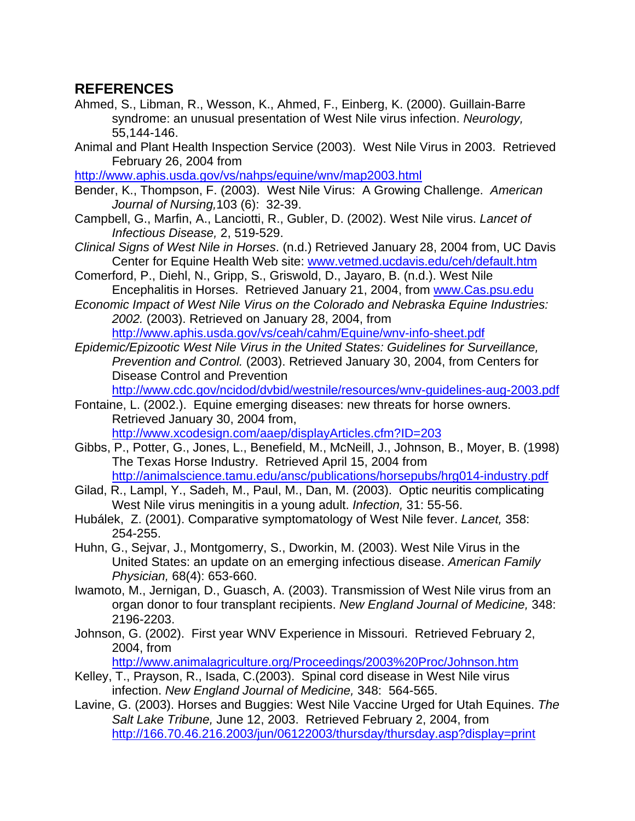# **REFERENCES**

- Ahmed, S., Libman, R., Wesson, K., Ahmed, F., Einberg, K. (2000). Guillain-Barre syndrome: an unusual presentation of West Nile virus infection. *Neurology,*  55,144-146.
- Animal and Plant Health Inspection Service (2003). West Nile Virus in 2003. Retrieved February 26, 2004 from

http://www.aphis.usda.gov/vs/nahps/equine/wnv/map2003.html

- Bender, K., Thompson, F. (2003). West Nile Virus: A Growing Challenge. *American Journal of Nursing,*103 (6): 32-39.
- Campbell, G., Marfin, A., Lanciotti, R., Gubler, D. (2002). West Nile virus. *Lancet of Infectious Disease,* 2, 519-529.
- *Clinical Signs of West Nile in Horses*. (n.d.) Retrieved January 28, 2004 from, UC Davis Center for Equine Health Web site: www.vetmed.ucdavis.edu/ceh/default.htm
- Comerford, P., Diehl, N., Gripp, S., Griswold, D., Jayaro, B. (n.d.). West Nile Encephalitis in Horses. Retrieved January 21, 2004, from www.Cas.psu.edu
- *Economic Impact of West Nile Virus on the Colorado and Nebraska Equine Industries: 2002.* (2003). Retrieved on January 28, 2004, from http://www.aphis.usda.gov/vs/ceah/cahm/Equine/wnv-info-sheet.pdf
- *Epidemic/Epizootic West Nile Virus in the United States: Guidelines for Surveillance, Prevention and Control.* (2003). Retrieved January 30, 2004, from Centers for Disease Control and Prevention

http://www.cdc.gov/ncidod/dvbid/westnile/resources/wnv-guidelines-aug-2003.pdf

- Fontaine, L. (2002.). Equine emerging diseases: new threats for horse owners. Retrieved January 30, 2004 from, http://www.xcodesign.com/aaep/displayArticles.cfm?ID=203
- Gibbs, P., Potter, G., Jones, L., Benefield, M., McNeill, J., Johnson, B., Moyer, B. (1998) The Texas Horse Industry. Retrieved April 15, 2004 from http://animalscience.tamu.edu/ansc/publications/horsepubs/hrg014-industry.pdf
- Gilad, R., Lampl, Y., Sadeh, M., Paul, M., Dan, M. (2003). Optic neuritis complicating West Nile virus meningitis in a young adult. *Infection,* 31: 55-56.
- Hubálek, Z. (2001). Comparative symptomatology of West Nile fever. *Lancet,* 358: 254-255.
- Huhn, G., Sejvar, J., Montgomerry, S., Dworkin, M. (2003). West Nile Virus in the United States: an update on an emerging infectious disease. *American Family Physician,* 68(4): 653-660.
- Iwamoto, M., Jernigan, D., Guasch, A. (2003). Transmission of West Nile virus from an organ donor to four transplant recipients. *New England Journal of Medicine,* 348: 2196-2203.
- Johnson, G. (2002). First year WNV Experience in Missouri. Retrieved February 2, 2004, from

http://www.animalagriculture.org/Proceedings/2003%20Proc/Johnson.htm

- Kelley, T., Prayson, R., Isada, C.(2003). Spinal cord disease in West Nile virus infection. *New England Journal of Medicine,* 348: 564-565.
- Lavine, G. (2003). Horses and Buggies: West Nile Vaccine Urged for Utah Equines. *The Salt Lake Tribune,* June 12, 2003. Retrieved February 2, 2004, from http://166.70.46.216.2003/jun/06122003/thursday/thursday.asp?display=print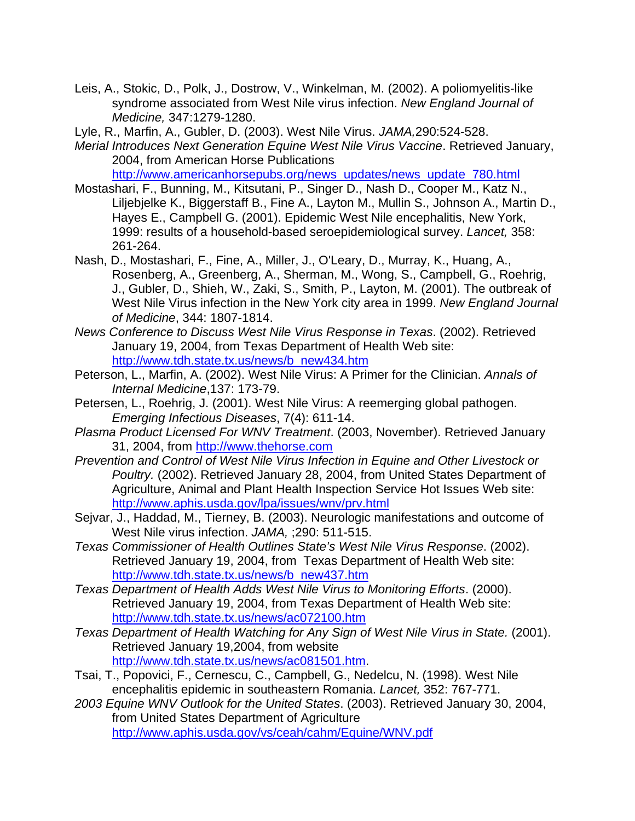- Leis, A., Stokic, D., Polk, J., Dostrow, V., Winkelman, M. (2002). A poliomyelitis-like syndrome associated from West Nile virus infection. *New England Journal of Medicine,* 347:1279-1280.
- Lyle, R., Marfin, A., Gubler, D. (2003). West Nile Virus. *JAMA,*290:524-528.
- *Merial Introduces Next Generation Equine West Nile Virus Vaccine*. Retrieved January, 2004, from American Horse Publications

http://www.americanhorsepubs.org/news\_updates/news\_update\_780.html

- Mostashari, F., Bunning, M., Kitsutani, P., Singer D., Nash D., Cooper M., Katz N., Liljebjelke K., Biggerstaff B., Fine A., Layton M., Mullin S., Johnson A., Martin D., Hayes E., Campbell G. (2001). Epidemic West Nile encephalitis, New York, 1999: results of a household-based seroepidemiological survey. *Lancet,* 358: 261-264.
- Nash, D., Mostashari, F., Fine, A., Miller, J., O'Leary, D., Murray, K., Huang, A., Rosenberg, A., Greenberg, A., Sherman, M., Wong, S., Campbell, G., Roehrig, J., Gubler, D., Shieh, W., Zaki, S., Smith, P., Layton, M. (2001). The outbreak of West Nile Virus infection in the New York city area in 1999. *New England Journal of Medicine*, 344: 1807-1814.
- *News Conference to Discuss West Nile Virus Response in Texas*. (2002). Retrieved January 19, 2004, from Texas Department of Health Web site: http://www.tdh.state.tx.us/news/b\_new434.htm
- Peterson, L., Marfin, A. (2002). West Nile Virus: A Primer for the Clinician. *Annals of Internal Medicine*,137: 173-79.
- Petersen, L., Roehrig, J. (2001). West Nile Virus: A reemerging global pathogen. *Emerging Infectious Diseases*, 7(4): 611-14.
- *Plasma Product Licensed For WNV Treatment*. (2003, November). Retrieved January 31, 2004, from http://www.thehorse.com
- *Prevention and Control of West Nile Virus Infection in Equine and Other Livestock or Poultry.* (2002). Retrieved January 28, 2004, from United States Department of Agriculture, Animal and Plant Health Inspection Service Hot Issues Web site: http://www.aphis.usda.gov/lpa/issues/wnv/prv.html
- Sejvar, J., Haddad, M., Tierney, B. (2003). Neurologic manifestations and outcome of West Nile virus infection. *JAMA,* ;290: 511-515.
- *Texas Commissioner of Health Outlines State's West Nile Virus Response*. (2002). Retrieved January 19, 2004, from Texas Department of Health Web site: http://www.tdh.state.tx.us/news/b\_new437.htm
- *Texas Department of Health Adds West Nile Virus to Monitoring Efforts*. (2000). Retrieved January 19, 2004, from Texas Department of Health Web site: http://www.tdh.state.tx.us/news/ac072100.htm
- *Texas Department of Health Watching for Any Sign of West Nile Virus in State.* (2001). Retrieved January 19,2004, from website http://www.tdh.state.tx.us/news/ac081501.htm.
- Tsai, T., Popovici, F., Cernescu, C., Campbell, G., Nedelcu, N. (1998). West Nile encephalitis epidemic in southeastern Romania. *Lancet,* 352: 767-771.
- *2003 Equine WNV Outlook for the United States*. (2003). Retrieved January 30, 2004, from United States Department of Agriculture http://www.aphis.usda.gov/vs/ceah/cahm/Equine/WNV.pdf